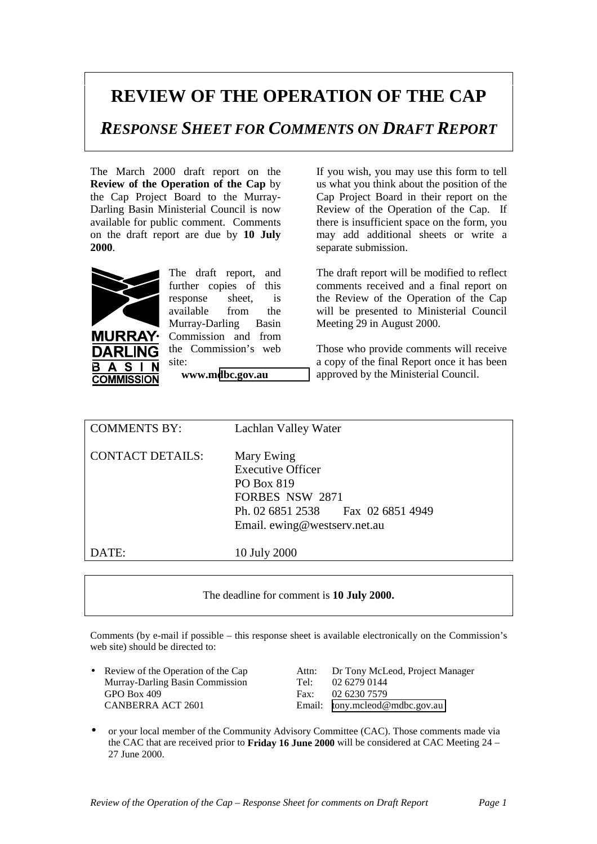## **REVIEW OF THE OPERATION OF THE CAP**

*RESPONSE SHEET FOR COMMENTS ON DRAFT REPORT*

The March 2000 draft report on the **Review of the Operation of the Cap** by the Cap Project Board to the Murray-Darling Basin Ministerial Council is now available for public comment. Comments on the draft report are due by **10 July 2000**.



S **COMMISSION**  The draft report, and further copies of this response sheet, is available from the Murray-Darling Basin Commission and from the Commission's web site:

**www.m[dbc.gov.au](http://www.mdbc.gov.au/)**

If you wish, you may use this form to tell us what you think about the position of the Cap Project Board in their report on the Review of the Operation of the Cap. If there is insufficient space on the form, you may add additional sheets or write a separate submission.

The draft report will be modified to reflect comments received and a final report on the Review of the Operation of the Cap will be presented to Ministerial Council Meeting 29 in August 2000.

Those who provide comments will receive a copy of the final Report once it has been approved by the Ministerial Council.

| <b>COMMENTS BY:</b>     | Lachlan Valley Water                                                                                                                                |
|-------------------------|-----------------------------------------------------------------------------------------------------------------------------------------------------|
| <b>CONTACT DETAILS:</b> | Mary Ewing<br><b>Executive Officer</b><br>PO Box 819<br><b>FORBES NSW 2871</b><br>Ph. 02 6851 2538 Fax 02 6851 4949<br>Email. ewing@westserv.net.au |
| DATE:                   | 10 July 2000                                                                                                                                        |

The deadline for comment is **10 July 2000.**

Comments (by e-mail if possible – this response sheet is available electronically on the Commission's web site) should be directed to:

Murray-Darling Basin Commission Tel: 02 6279 0144 GPO Box 409 Fax: 02 6230 7579

• Review of the Operation of the Cap Attn: Dr Tony McLeod, Project Manager Murray-Darling Basin Commission Tel: 02.6279.0144 CANBERRA ACT 2601 Email: [tony.mcleod@mdbc.gov.au](mailto:tony.mcleod@mdbc.gov.au)

• or your local member of the Community Advisory Committee (CAC). Those comments made via the CAC that are received prior to **Friday 16 June 2000** will be considered at CAC Meeting 24 – 27 June 2000.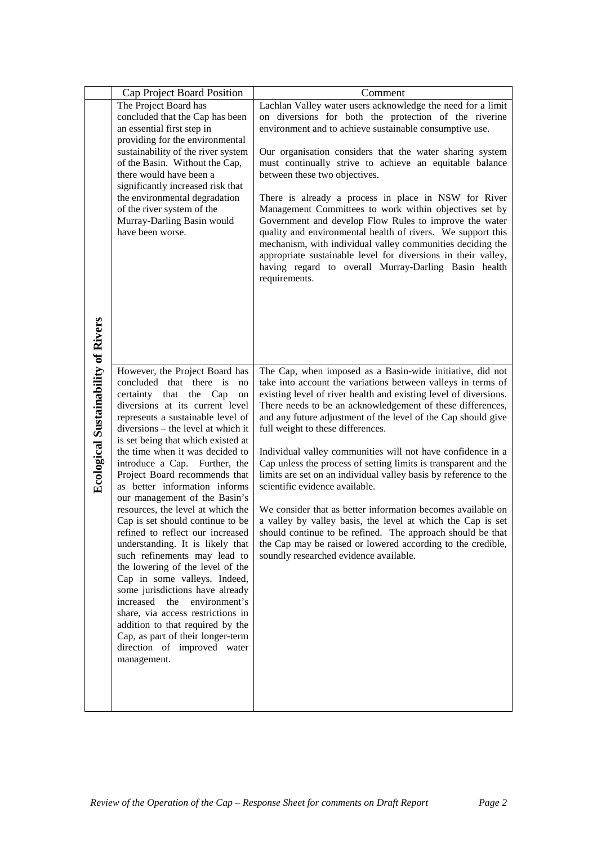|                                            | Cap Project Board Position                                                                                                                                                                                                                                                                                                                                                                                                                                                                                                                                                                                                                                                                                                                                                                                                                                                                                       | Comment                                                                                                                                                                                                                                                                                                                                                                                                                                                                                                                                                                                                                                                                                                                                                                                                                                                                                                        |
|--------------------------------------------|------------------------------------------------------------------------------------------------------------------------------------------------------------------------------------------------------------------------------------------------------------------------------------------------------------------------------------------------------------------------------------------------------------------------------------------------------------------------------------------------------------------------------------------------------------------------------------------------------------------------------------------------------------------------------------------------------------------------------------------------------------------------------------------------------------------------------------------------------------------------------------------------------------------|----------------------------------------------------------------------------------------------------------------------------------------------------------------------------------------------------------------------------------------------------------------------------------------------------------------------------------------------------------------------------------------------------------------------------------------------------------------------------------------------------------------------------------------------------------------------------------------------------------------------------------------------------------------------------------------------------------------------------------------------------------------------------------------------------------------------------------------------------------------------------------------------------------------|
| <b>Ecological Sustainability of Rivers</b> | The Project Board has<br>concluded that the Cap has been<br>an essential first step in<br>providing for the environmental<br>sustainability of the river system<br>of the Basin. Without the Cap,<br>there would have been a<br>significantly increased risk that<br>the environmental degradation<br>of the river system of the<br>Murray-Darling Basin would<br>have been worse.                                                                                                                                                                                                                                                                                                                                                                                                                                                                                                                               | Lachlan Valley water users acknowledge the need for a limit<br>on diversions for both the protection of the riverine<br>environment and to achieve sustainable consumptive use.<br>Our organisation considers that the water sharing system<br>must continually strive to achieve an equitable balance<br>between these two objectives.<br>There is already a process in place in NSW for River<br>Management Committees to work within objectives set by<br>Government and develop Flow Rules to improve the water<br>quality and environmental health of rivers. We support this<br>mechanism, with individual valley communities deciding the<br>appropriate sustainable level for diversions in their valley,<br>having regard to overall Murray-Darling Basin health<br>requirements.                                                                                                                     |
|                                            | However, the Project Board has<br>concluded that there is<br>no<br>certainty that the Cap<br>on<br>diversions at its current level<br>represents a sustainable level of<br>diversions – the level at which it<br>is set being that which existed at<br>the time when it was decided to<br>introduce a Cap. Further, the<br>Project Board recommends that<br>as better information informs<br>our management of the Basin's<br>resources, the level at which the<br>Cap is set should continue to be<br>refined to reflect our increased<br>understanding. It is likely that<br>such refinements may lead to<br>the lowering of the level of the<br>Cap in some valleys. Indeed,<br>some jurisdictions have already<br>increased the<br>environment's<br>share, via access restrictions in<br>addition to that required by the<br>Cap, as part of their longer-term<br>direction of improved water<br>management. | The Cap, when imposed as a Basin-wide initiative, did not<br>take into account the variations between valleys in terms of<br>existing level of river health and existing level of diversions.<br>There needs to be an acknowledgement of these differences,<br>and any future adjustment of the level of the Cap should give<br>full weight to these differences.<br>Individual valley communities will not have confidence in a<br>Cap unless the process of setting limits is transparent and the<br>limits are set on an individual valley basis by reference to the<br>scientific evidence available.<br>We consider that as better information becomes available on<br>a valley by valley basis, the level at which the Cap is set<br>should continue to be refined. The approach should be that<br>the Cap may be raised or lowered according to the credible,<br>soundly researched evidence available. |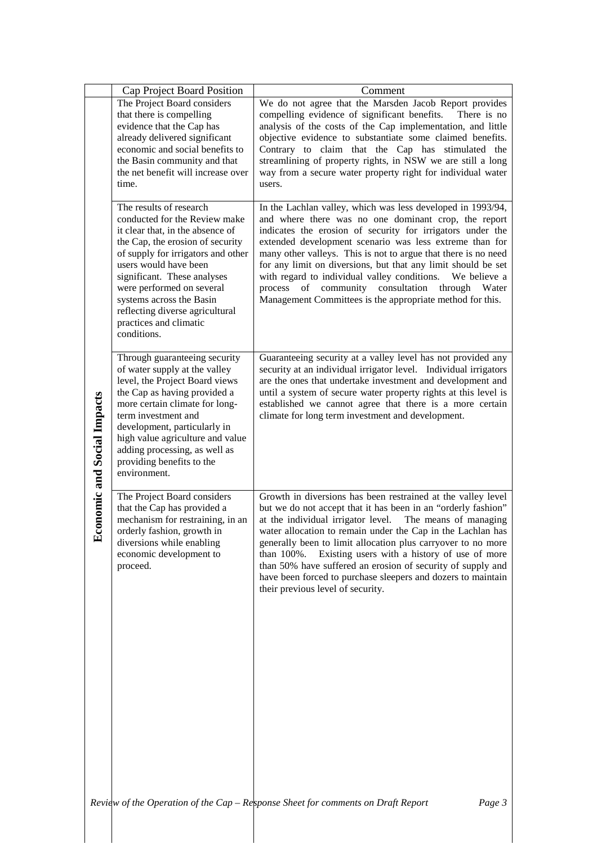|                                 | Cap Project Board Position                                                                                                                                                                                                                                                                                                                                          | Comment                                                                                                                                                                                                                                                                                                                                                                                                                                                                                                                                                                  |
|---------------------------------|---------------------------------------------------------------------------------------------------------------------------------------------------------------------------------------------------------------------------------------------------------------------------------------------------------------------------------------------------------------------|--------------------------------------------------------------------------------------------------------------------------------------------------------------------------------------------------------------------------------------------------------------------------------------------------------------------------------------------------------------------------------------------------------------------------------------------------------------------------------------------------------------------------------------------------------------------------|
| conomic and Social Impacts<br>卤 | The Project Board considers<br>that there is compelling<br>evidence that the Cap has<br>already delivered significant<br>economic and social benefits to<br>the Basin community and that<br>the net benefit will increase over<br>time.                                                                                                                             | We do not agree that the Marsden Jacob Report provides<br>compelling evidence of significant benefits.<br>There is no<br>analysis of the costs of the Cap implementation, and little<br>objective evidence to substantiate some claimed benefits.<br>Contrary to claim that the Cap has stimulated the<br>streamlining of property rights, in NSW we are still a long<br>way from a secure water property right for individual water<br>users.                                                                                                                           |
|                                 | The results of research<br>conducted for the Review make<br>it clear that, in the absence of<br>the Cap, the erosion of security<br>of supply for irrigators and other<br>users would have been<br>significant. These analyses<br>were performed on several<br>systems across the Basin<br>reflecting diverse agricultural<br>practices and climatic<br>conditions. | In the Lachlan valley, which was less developed in 1993/94,<br>and where there was no one dominant crop, the report<br>indicates the erosion of security for irrigators under the<br>extended development scenario was less extreme than for<br>many other valleys. This is not to argue that there is no need<br>for any limit on diversions, but that any limit should be set<br>with regard to individual valley conditions.<br>We believe a<br>of community consultation<br>process<br>through<br>Water<br>Management Committees is the appropriate method for this. |
|                                 | Through guaranteeing security<br>of water supply at the valley<br>level, the Project Board views<br>the Cap as having provided a<br>more certain climate for long-<br>term investment and<br>development, particularly in<br>high value agriculture and value<br>adding processing, as well as<br>providing benefits to the<br>environment.                         | Guaranteeing security at a valley level has not provided any<br>security at an individual irrigator level. Individual irrigators<br>are the ones that undertake investment and development and<br>until a system of secure water property rights at this level is<br>established we cannot agree that there is a more certain<br>climate for long term investment and development.                                                                                                                                                                                       |
|                                 | The Project Board considers<br>that the Cap has provided a<br>mechanism for restraining, in an<br>orderly fashion, growth in<br>diversions while enabling<br>economic development to<br>proceed.                                                                                                                                                                    | Growth in diversions has been restrained at the valley level<br>but we do not accept that it has been in an "orderly fashion"<br>at the individual irrigator level. The means of managing<br>water allocation to remain under the Cap in the Lachlan has<br>generally been to limit allocation plus carryover to no more<br>Existing users with a history of use of more<br>than 100%.<br>than 50% have suffered an erosion of security of supply and<br>have been forced to purchase sleepers and dozers to maintain<br>their previous level of security.               |
|                                 |                                                                                                                                                                                                                                                                                                                                                                     | Review of the Operation of the Cap - Response Sheet for comments on Draft Report<br>Page 3                                                                                                                                                                                                                                                                                                                                                                                                                                                                               |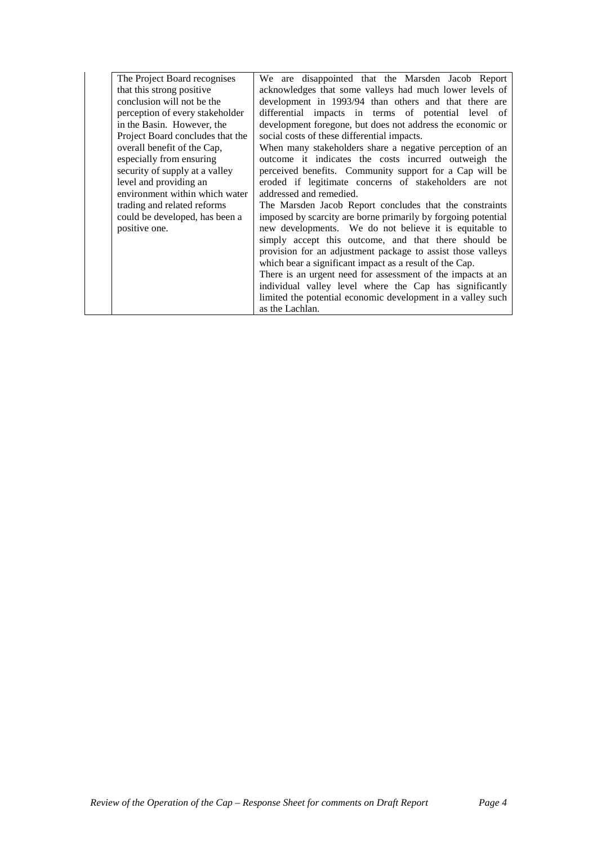| The Project Board recognises     | We are disappointed that the Marsden Jacob Report             |
|----------------------------------|---------------------------------------------------------------|
| that this strong positive        | acknowledges that some valleys had much lower levels of       |
| conclusion will not be the       | development in 1993/94 than others and that there are         |
| perception of every stakeholder  | differential impacts in terms of potential level of           |
| in the Basin. However, the       | development foregone, but does not address the economic or    |
| Project Board concludes that the | social costs of these differential impacts.                   |
| overall benefit of the Cap,      | When many stakeholders share a negative perception of an      |
| especially from ensuring         | outcome it indicates the costs incurred outweigh the          |
| security of supply at a valley   | perceived benefits. Community support for a Cap will be       |
| level and providing an           | eroded if legitimate concerns of stakeholders are not         |
| environment within which water   | addressed and remedied.                                       |
| trading and related reforms      | The Marsden Jacob Report concludes that the constraints       |
| could be developed, has been a   | imposed by scarcity are borne primarily by forgoing potential |
| positive one.                    | new developments. We do not believe it is equitable to        |
|                                  | simply accept this outcome, and that there should be          |
|                                  | provision for an adjustment package to assist those valleys   |
|                                  | which bear a significant impact as a result of the Cap.       |
|                                  | There is an urgent need for assessment of the impacts at an   |
|                                  | individual valley level where the Cap has significantly       |
|                                  | limited the potential economic development in a valley such   |
|                                  | as the Lachlan.                                               |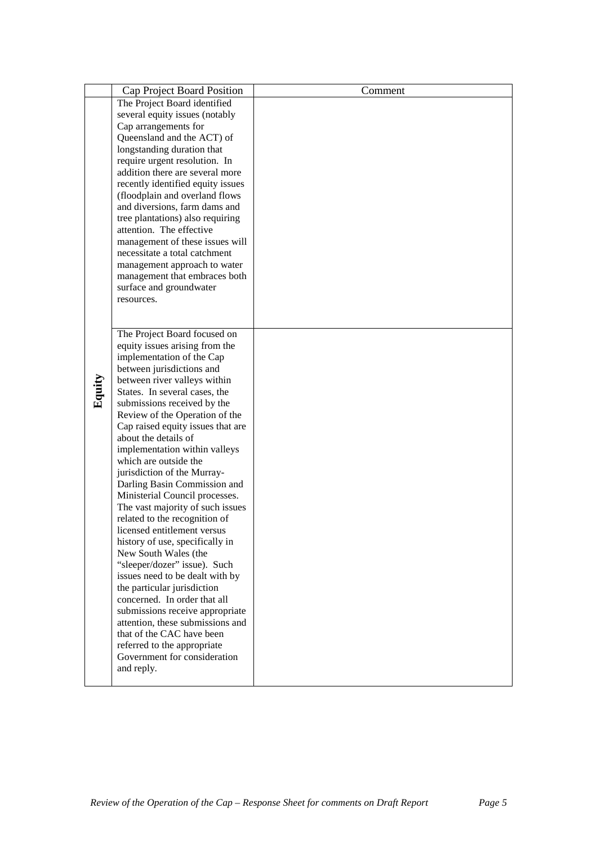|        | Cap Project Board Position                                       | Comment |
|--------|------------------------------------------------------------------|---------|
|        | The Project Board identified                                     |         |
|        | several equity issues (notably                                   |         |
|        | Cap arrangements for                                             |         |
|        | Queensland and the ACT) of                                       |         |
|        | longstanding duration that                                       |         |
|        | require urgent resolution. In                                    |         |
|        | addition there are several more                                  |         |
|        | recently identified equity issues                                |         |
|        | (floodplain and overland flows                                   |         |
|        | and diversions, farm dams and                                    |         |
|        | tree plantations) also requiring                                 |         |
|        | attention. The effective                                         |         |
|        | management of these issues will<br>necessitate a total catchment |         |
|        |                                                                  |         |
|        | management approach to water<br>management that embraces both    |         |
|        | surface and groundwater                                          |         |
|        | resources.                                                       |         |
|        |                                                                  |         |
|        |                                                                  |         |
|        | The Project Board focused on                                     |         |
|        | equity issues arising from the                                   |         |
|        | implementation of the Cap                                        |         |
|        | between jurisdictions and                                        |         |
| Equity | between river valleys within                                     |         |
|        | States. In several cases, the                                    |         |
|        | submissions received by the                                      |         |
|        | Review of the Operation of the                                   |         |
|        | Cap raised equity issues that are<br>about the details of        |         |
|        | implementation within valleys                                    |         |
|        | which are outside the                                            |         |
|        | jurisdiction of the Murray-                                      |         |
|        | Darling Basin Commission and                                     |         |
|        | Ministerial Council processes.                                   |         |
|        | The vast majority of such issues                                 |         |
|        | related to the recognition of                                    |         |
|        | licensed entitlement versus                                      |         |
|        | history of use, specifically in                                  |         |
|        | New South Wales (the                                             |         |
|        | "sleeper/dozer" issue). Such                                     |         |
|        | issues need to be dealt with by                                  |         |
|        | the particular jurisdiction                                      |         |
|        | concerned. In order that all                                     |         |
|        | submissions receive appropriate                                  |         |
|        | attention, these submissions and                                 |         |
|        | that of the CAC have been                                        |         |
|        | referred to the appropriate<br>Government for consideration      |         |
|        | and reply.                                                       |         |
|        |                                                                  |         |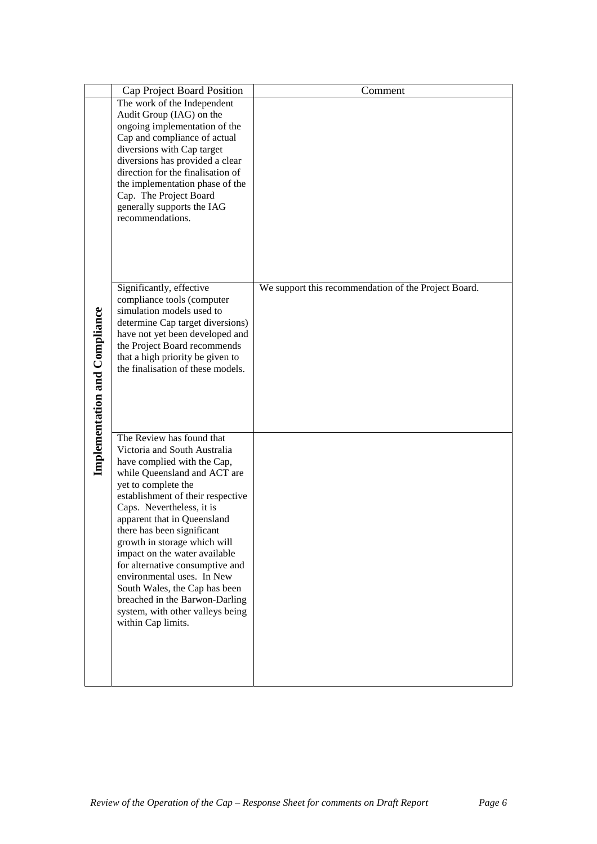|                               | Cap Project Board Position                                          | Comment                                              |
|-------------------------------|---------------------------------------------------------------------|------------------------------------------------------|
|                               | The work of the Independent                                         |                                                      |
|                               | Audit Group (IAG) on the                                            |                                                      |
|                               | ongoing implementation of the                                       |                                                      |
|                               | Cap and compliance of actual<br>diversions with Cap target          |                                                      |
|                               | diversions has provided a clear                                     |                                                      |
|                               | direction for the finalisation of                                   |                                                      |
|                               | the implementation phase of the                                     |                                                      |
|                               | Cap. The Project Board                                              |                                                      |
|                               | generally supports the IAG                                          |                                                      |
|                               | recommendations.                                                    |                                                      |
|                               |                                                                     |                                                      |
|                               |                                                                     |                                                      |
|                               |                                                                     |                                                      |
|                               |                                                                     |                                                      |
|                               | Significantly, effective                                            | We support this recommendation of the Project Board. |
|                               | compliance tools (computer                                          |                                                      |
|                               | simulation models used to                                           |                                                      |
|                               | determine Cap target diversions)<br>have not yet been developed and |                                                      |
|                               | the Project Board recommends                                        |                                                      |
|                               | that a high priority be given to                                    |                                                      |
|                               | the finalisation of these models.                                   |                                                      |
|                               |                                                                     |                                                      |
|                               |                                                                     |                                                      |
|                               |                                                                     |                                                      |
| Implementation and Compliance |                                                                     |                                                      |
|                               | The Review has found that                                           |                                                      |
|                               | Victoria and South Australia                                        |                                                      |
|                               | have complied with the Cap,                                         |                                                      |
|                               | while Queensland and ACT are<br>yet to complete the                 |                                                      |
|                               | establishment of their respective                                   |                                                      |
|                               | Caps. Nevertheless, it is                                           |                                                      |
|                               | apparent that in Queensland                                         |                                                      |
|                               | there has been significant                                          |                                                      |
|                               | growth in storage which will                                        |                                                      |
|                               | impact on the water available                                       |                                                      |
|                               | for alternative consumptive and<br>environmental uses. In New       |                                                      |
|                               | South Wales, the Cap has been                                       |                                                      |
|                               | breached in the Barwon-Darling                                      |                                                      |
|                               | system, with other valleys being                                    |                                                      |
|                               | within Cap limits.                                                  |                                                      |
|                               |                                                                     |                                                      |
|                               |                                                                     |                                                      |
|                               |                                                                     |                                                      |
|                               |                                                                     |                                                      |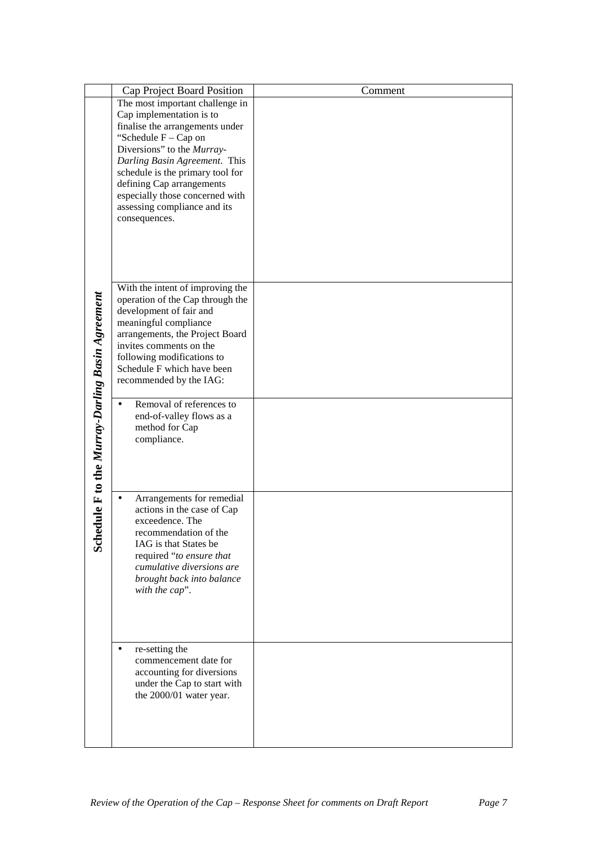|                                              | Cap Project Board Position                                           | Comment |
|----------------------------------------------|----------------------------------------------------------------------|---------|
|                                              | The most important challenge in                                      |         |
|                                              | Cap implementation is to                                             |         |
|                                              | finalise the arrangements under<br>"Schedule F - Cap on              |         |
|                                              | Diversions" to the Murray-                                           |         |
|                                              | Darling Basin Agreement. This                                        |         |
|                                              | schedule is the primary tool for                                     |         |
|                                              | defining Cap arrangements                                            |         |
|                                              | especially those concerned with                                      |         |
|                                              | assessing compliance and its<br>consequences.                        |         |
|                                              |                                                                      |         |
|                                              |                                                                      |         |
|                                              |                                                                      |         |
|                                              |                                                                      |         |
|                                              |                                                                      |         |
|                                              | With the intent of improving the<br>operation of the Cap through the |         |
|                                              | development of fair and                                              |         |
|                                              | meaningful compliance                                                |         |
|                                              | arrangements, the Project Board                                      |         |
|                                              | invites comments on the                                              |         |
|                                              | following modifications to<br>Schedule F which have been             |         |
|                                              | recommended by the IAG:                                              |         |
|                                              |                                                                      |         |
|                                              | Removal of references to                                             |         |
|                                              | end-of-valley flows as a                                             |         |
|                                              | method for Cap                                                       |         |
|                                              | compliance.                                                          |         |
|                                              |                                                                      |         |
|                                              |                                                                      |         |
| dule F to the Murray-Darling Basin Agreement | Arrangements for remedial                                            |         |
|                                              | actions in the case of Cap                                           |         |
|                                              | exceedence. The                                                      |         |
|                                              | recommendation of the                                                |         |
| <b>Sche</b>                                  | IAG is that States be                                                |         |
|                                              | required "to ensure that                                             |         |
|                                              | cumulative diversions are<br>brought back into balance               |         |
|                                              | with the cap".                                                       |         |
|                                              |                                                                      |         |
|                                              |                                                                      |         |
|                                              |                                                                      |         |
|                                              |                                                                      |         |
|                                              | re-setting the<br>commencement date for                              |         |
|                                              | accounting for diversions                                            |         |
|                                              | under the Cap to start with                                          |         |
|                                              | the 2000/01 water year.                                              |         |
|                                              |                                                                      |         |
|                                              |                                                                      |         |
|                                              |                                                                      |         |